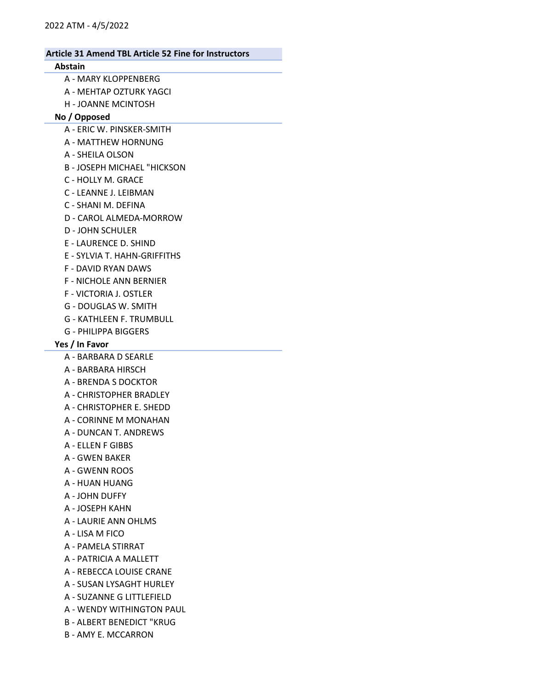### Abstain

- A MARY KLOPPENBERG
- A MEHTAP OZTURK YAGCI
- H JOANNE MCINTOSH

## No / Opposed

- A ERIC W. PINSKER-SMITH
- A MATTHEW HORNUNG
- A SHEILA OLSON
- B JOSEPH MICHAEL "HICKSON
- C HOLLY M. GRACE
- C LEANNE J. LEIBMAN
- C SHANI M. DEFINA
- D CAROL ALMEDA-MORROW
- D JOHN SCHULER
- E LAURENCE D. SHIND
- E SYLVIA T. HAHN-GRIFFITHS
- F DAVID RYAN DAWS
- F NICHOLE ANN BERNIER
- F VICTORIA J. OSTLER
- G DOUGLAS W. SMITH
- G KATHLEEN F. TRUMBULL
- G PHILIPPA BIGGERS

# Yes / In Favor

- A BARBARA D SEARLE
- A BARBARA HIRSCH
- A BRENDA S DOCKTOR
- A CHRISTOPHER BRADLEY
- A CHRISTOPHER E. SHEDD
- A CORINNE M MONAHAN
- A DUNCAN T. ANDREWS
- A ELLEN F GIBBS
- A GWEN BAKER
- A GWENN ROOS
- A HUAN HUANG
- A JOHN DUFFY
- A JOSEPH KAHN
- A LAURIE ANN OHLMS
- A LISA M FICO
- A PAMELA STIRRAT
- A PATRICIA A MALLETT
- A REBECCA LOUISE CRANE
- A SUSAN LYSAGHT HURLEY
- A SUZANNE G LITTLEFIELD
- A WENDY WITHINGTON PAUL
- B ALBERT BENEDICT "KRUG
- B AMY E. MCCARRON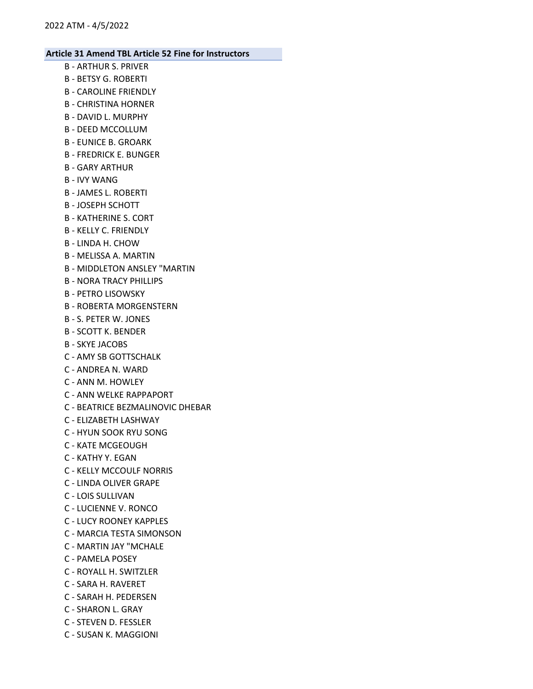- B ARTHUR S. PRIVER
- B BETSY G. ROBERTI
- B CAROLINE FRIENDLY
- B CHRISTINA HORNER
- B DAVID L. MURPHY
- B DEED MCCOLLUM
- B EUNICE B. GROARK
- B FREDRICK E. BUNGER
- B GARY ARTHUR
- B IVY WANG
- B JAMES L. ROBERTI
- B JOSEPH SCHOTT
- B KATHERINE S. CORT
- B KELLY C. FRIENDLY
- B LINDA H. CHOW
- B MELISSA A. MARTIN
- B MIDDLETON ANSLEY "MARTIN
- B NORA TRACY PHILLIPS
- B PETRO LISOWSKY
- B ROBERTA MORGENSTERN
- B S. PETER W. JONES
- B SCOTT K. BENDER
- B SKYE JACOBS
- C AMY SB GOTTSCHALK
- C ANDREA N. WARD
- C ANN M. HOWLEY
- C ANN WELKE RAPPAPORT
- C BEATRICE BEZMALINOVIC DHEBAR
- C ELIZABETH LASHWAY
- C HYUN SOOK RYU SONG
- C KATE MCGEOUGH
- C KATHY Y. EGAN
- C KELLY MCCOULF NORRIS
- C LINDA OLIVER GRAPE
- C LOIS SULLIVAN
- C LUCIENNE V. RONCO
- C LUCY ROONEY KAPPLES
- C MARCIA TESTA SIMONSON
- C MARTIN JAY "MCHALE
- C PAMELA POSEY
- C ROYALL H. SWITZLER
- C SARA H. RAVERET
- C SARAH H. PEDERSEN
- C SHARON L. GRAY
- C STEVEN D. FESSLER
- C SUSAN K. MAGGIONI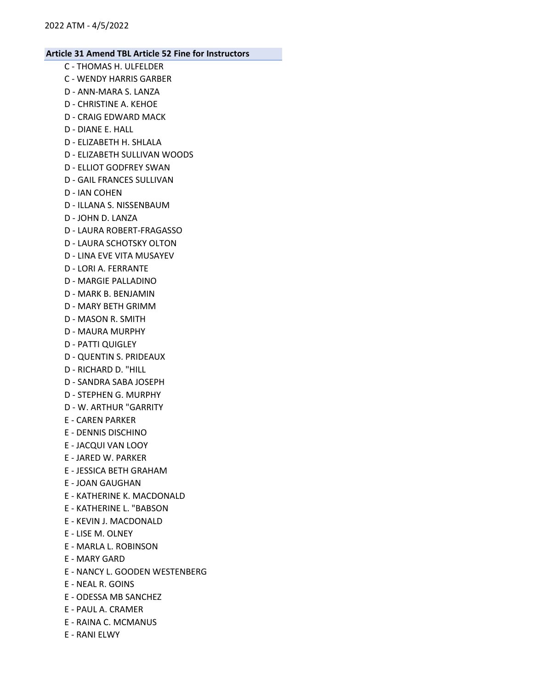- C THOMAS H. ULFELDER C - WENDY HARRIS GARBER D - ANN-MARA S. LANZA D - CHRISTINE A. KEHOE D - CRAIG EDWARD MACK D - DIANE E. HALL D - ELIZABETH H. SHLALA D - ELIZABETH SULLIVAN WOODS D - ELLIOT GODFREY SWAN D - GAIL FRANCES SULLIVAN D - IAN COHEN D - ILLANA S. NISSENBAUM D - JOHN D. LANZA D - LAURA ROBERT-FRAGASSO D - LAURA SCHOTSKY OLTON D - LINA EVE VITA MUSAYEV D - LORI A. FERRANTE D - MARGIE PALLADINO D - MARK B. BENJAMIN D - MARY BETH GRIMM D - MASON R. SMITH D - MAURA MURPHY D - PATTI QUIGLEY D - QUENTIN S. PRIDEAUX D - RICHARD D. "HILL D - SANDRA SABA JOSEPH D - STEPHEN G. MURPHY D - W. ARTHUR "GARRITY E - CAREN PARKER E - DENNIS DISCHINO E - JACQUI VAN LOOY E - JARED W. PARKER E - JESSICA BETH GRAHAM E - JOAN GAUGHAN E - KATHERINE K. MACDONALD E - KATHERINE L. "BABSON E - KEVIN J. MACDONALD E - LISE M. OLNEY E - MARLA L. ROBINSON E - MARY GARD E - NANCY L. GOODEN WESTENBERG E - NEAL R. GOINS E - ODESSA MB SANCHEZ E - PAUL A. CRAMER
- E RAINA C. MCMANUS
- E RANI ELWY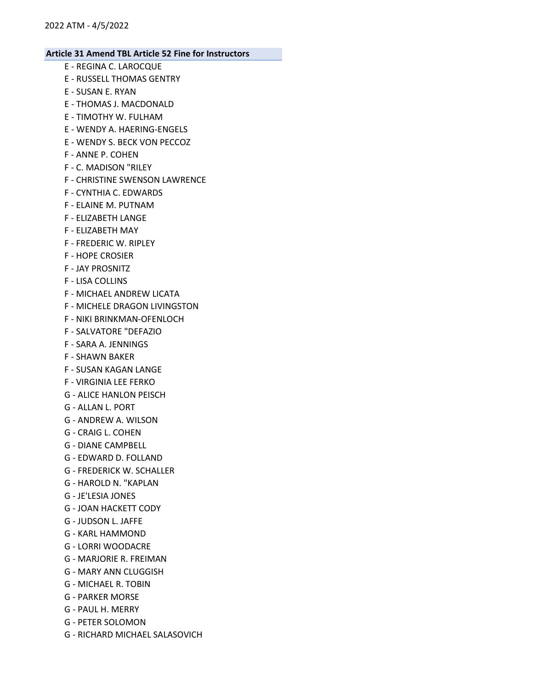- E REGINA C. LAROCQUE E - RUSSELL THOMAS GENTRY E - SUSAN E. RYAN E - THOMAS J. MACDONALD E - TIMOTHY W. FULHAM E - WENDY A. HAERING-ENGELS E - WENDY S. BECK VON PECCOZ F - ANNE P. COHEN F - C. MADISON "RILEY F - CHRISTINE SWENSON LAWRENCE F - CYNTHIA C. EDWARDS F - ELAINE M. PUTNAM F - ELIZABETH LANGE F - ELIZABETH MAY F - FREDERIC W. RIPLEY F - HOPE CROSIER F - JAY PROSNITZ F - LISA COLLINS F - MICHAEL ANDREW LICATA F - MICHELE DRAGON LIVINGSTON F - NIKI BRINKMAN-OFENLOCH F - SALVATORE "DEFAZIO F - SARA A. JENNINGS F - SHAWN BAKER F - SUSAN KAGAN LANGE F - VIRGINIA LEE FERKO G - ALICE HANLON PEISCH G - ALLAN L. PORT G - ANDREW A. WILSON G - CRAIG L. COHEN G - DIANE CAMPBELL G - EDWARD D. FOLLAND G - FREDERICK W. SCHALLER G - HAROLD N. "KAPLAN G - JE'LESIA JONES G - JOAN HACKETT CODY G - JUDSON L. JAFFE G - KARL HAMMOND G - LORRI WOODACRE G - MARJORIE R. FREIMAN G - MARY ANN CLUGGISH G - MICHAEL R. TOBIN G - PARKER MORSE
- G PAUL H. MERRY
- G PETER SOLOMON
- G RICHARD MICHAEL SALASOVICH